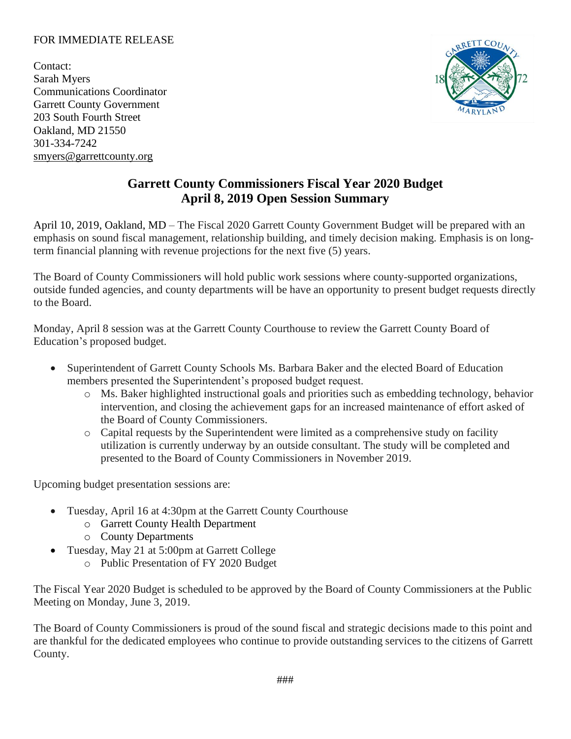## FOR IMMEDIATE RELEASE

Contact: Sarah Myers Communications Coordinator Garrett County Government 203 South Fourth Street Oakland, MD 21550 301-334-7242 [smyers@garrettcounty.org](mailto:smyers@garrettcounty.org)



## **Garrett County Commissioners Fiscal Year 2020 Budget April 8, 2019 Open Session Summary**

April 10, 2019, Oakland, MD – The Fiscal 2020 Garrett County Government Budget will be prepared with an emphasis on sound fiscal management, relationship building, and timely decision making. Emphasis is on longterm financial planning with revenue projections for the next five (5) years.

The Board of County Commissioners will hold public work sessions where county-supported organizations, outside funded agencies, and county departments will be have an opportunity to present budget requests directly to the Board.

Monday, April 8 session was at the Garrett County Courthouse to review the Garrett County Board of Education's proposed budget.

- Superintendent of Garrett County Schools Ms. Barbara Baker and the elected Board of Education members presented the Superintendent's proposed budget request.
	- o Ms. Baker highlighted instructional goals and priorities such as embedding technology, behavior intervention, and closing the achievement gaps for an increased maintenance of effort asked of the Board of County Commissioners.
	- o Capital requests by the Superintendent were limited as a comprehensive study on facility utilization is currently underway by an outside consultant. The study will be completed and presented to the Board of County Commissioners in November 2019.

Upcoming budget presentation sessions are:

- Tuesday, April 16 at 4:30pm at the Garrett County Courthouse
	- o Garrett County Health Department
	- o County Departments
- Tuesday, May 21 at 5:00pm at Garrett College
	- o Public Presentation of FY 2020 Budget

The Fiscal Year 2020 Budget is scheduled to be approved by the Board of County Commissioners at the Public Meeting on Monday, June 3, 2019.

The Board of County Commissioners is proud of the sound fiscal and strategic decisions made to this point and are thankful for the dedicated employees who continue to provide outstanding services to the citizens of Garrett County.